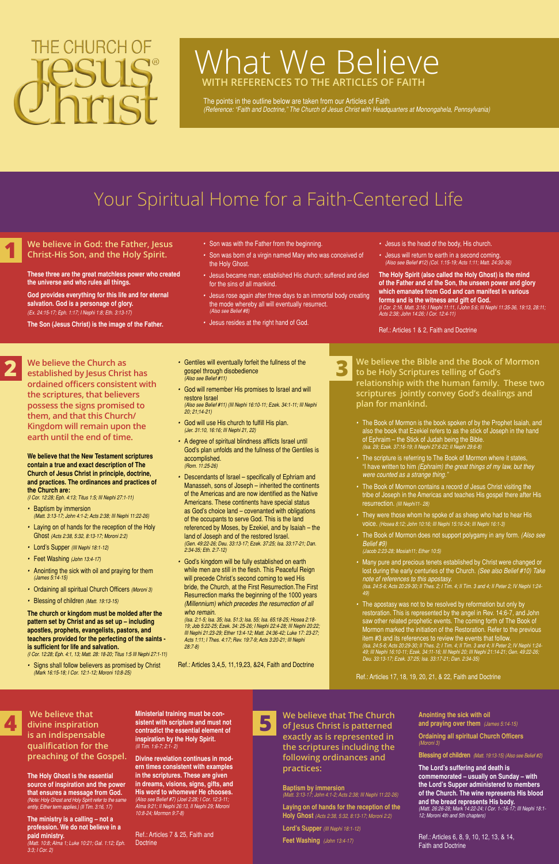## **We believe in God: the Father, Jesus Christ-His Son, and the Holy Spirit.**

**These three are the great matchless power who created the universe and who rules all things.**

**God provides everything for this life and for eternal salvation. God is a personage of glory.**  *(Ex. 24:15-17; Eph. 1:17; I Nephi 1:8; Eth. 3:13-17)*

**The Son (Jesus Christ) is the image of the Father.** 

- *•* Son was with the Father from the beginning.
- *•* Son was born of a virgin named Mary who was conceived of the Holy Ghost.
- *•* Jesus became man; established His church; suffered and died for the sins of all mankind.
- *•* Jesus rose again after three days to an immortal body creating the mode whereby all will eventually resurrect. *(Also see Belief #8)*
- *•* Jesus resides at the right hand of God.
- *•* Jesus is the head of the body, His church.
- *•* Jesus will return to earth in a second coming. *(Also see Belief #12) (Col. 1:15-19; Acts 1:11; Matt. 24:30-36)*

**The Holy Spirit (also called the Holy Ghost) is the mind of the Father and of the Son, the unseen power and glory which emanates from God and can manifest in various forms and is the witness and gift of God.**  *(I Cor. 2:16, Matt. 3:16; I Nephi 11:11, I John 5:6; III Nephi 11:35-36, 19:13, 28:11;* 

*Acts 2:38; John 14:26; I Cor. 12:4-11)*

Ref.: Articles 1 & 2, Faith and Doctrine

**We believe the Church as established by Jesus Christ has ordained officers consistent with the scriptures, that believers possess the signs promised to them, and that this Church/ Kingdom will remain upon the earth until the end of time.**

**We believe that the New Testament scriptures contain a true and exact description of The Church of Jesus Christ in principle, doctrine, and practices. The ordinances and practices of the Church are:**

*(I Cor. 12:28; Eph. 4:13; Titus 1:5; III Nephi 27:1-11)*

- *•* Baptism by immersion *(Matt. 3:13-17; John 4:1-2; Acts 2:38; III Nephi 11:22-26)*
- *•* Laying on of hands for the reception of the Holy Ghost *(Acts 2:38, 5:32, 8:13-17; Moroni 2:2)*
- *•* Lord's Supper *(III Nephi 18:1-12)*
- *•* Feet Washing *(John 13:4-17)*
- *•* Anointing the sick with oil and praying for them *(James 5:14-15)*
- *•* Ordaining all spiritual Church Officers *(Moroni 3)*
- *•* Blessing of children *(Matt. 19:13-15)*

**The church or kingdom must be molded after the pattern set by Christ and as set up – including apostles, prophets, evangelists, pastors, and** 

#### **teachers provided for the perfecting of the saints is sufficient for life and salvation.**

*(I Cor. 12:28; Eph. 4:1, 13; Matt. 28: 18-20; Titus 1:5 III Nephi 27:1-11)*

*•* Signs shall follow believers as promised by Christ *(Mark 16:15-18; I Cor. 12:1-12; Moroni 10:8-25)*

- *•* Gentiles will eventually forfeit the fullness of the gospel through disobedience *(Also see Belief #11)*
- *•* God will remember His promises to Israel and will restore Israel *(Also see Belief #11) (III Nephi 16:10-11; Ezek. 34:1-11; III Nephi*
- *20; 21;14-21)*
- *•* God will use His church to fulfill His plan. *(Jer. 31:10, 16:16; III Nephi 21, 22)*
- *•* A degree of spiritual blindness afflicts Israel until God's plan unfolds and the fullness of the Gentiles is accomplished. *(Rom. 11:25-26)*
- *•* Descendants of Israel specifically of Ephriam and Manasseh, sons of Joseph – inherited the continents of the Americas and are now identified as the Native Americans. These continents have special status as God's choice land – covenanted with obligations of the occupants to serve God. This is the land referenced by Moses, by Ezekiel, and by Isaiah – the land of Joseph and of the restored Israel. *(Gen. 49:22-26; Deu. 33:13-17; Ezek. 37:25; Isa. 33:17-21; Dan. 2:34-35; Eth. 2:7-12)*
- *•* God's kingdom will be fully established on earth while men are still in the flesh. This Peaceful Reign will precede Christ's second coming to wed His bride, the Church, at the First Resurrection.The First Resurrection marks the beginning of the 1000 years *(Millennium) which precedes the resurrection of all who remain.*

Ref.: Articles 7 & 25, Faith and **Doctrine** 

*(Isa. 2:1-5; Isa. 35; Isa. 51:3; Isa. 55; Isa. 65:18-25; Hosea 2:18- 19; Job 5:22-25; Ezek. 34: 25-26; I Nephi 22:4-28; III Nephi 20:22; III Nephi 21:23-29; Ether 13:4-12; Matt. 24:36-42; Luke 17: 23-27; Acts 1:11; I Thes. 4:17; Rev. 19:7-9; Acts 3:20-21; III Nephi 28:7-8)*

Ref.: Articles 3,4,5, 11,19,23, &24, Faith and Doctrine

- *•* The Book of Mormon is the book spoken of by the Prophet Isaiah, and also the book that Ezekiel refers to as the stick of Joseph in the hand of Ephraim – the Stick of Judah being the Bible. *(Isa. 29; Ezek. 37:16-19; II Nephi 27:6-22; II Nephi 29:6-8)*
- *•* The scripture is referring to The Book of Mormon where it states, "I have written to him *(Ephraim) the great things of my law, but they were counted as a strange thing."*
- *•* The Book of Mormon contains a record of Jesus Christ visiting the tribe of Joseph in the Americas and teaches His gospel there after His resurrection. *(III Nephi11- 28)*
- *•* They were those whom he spoke of as sheep who had to hear His voice. *(Hosea 8:12; John 10:16; III Nephi 15:16-24; III Nephi 16:1-3)*
- *•* The Book of Mormon does not support polygamy in any form. *(Also see Belief #9) (Jacob 2:23-28; Mosiah11; Ether 10:5)*
- *•* Many pure and precious tenets established by Christ were changed or lost during the early centuries of the Church. *(See also Belief #10) Take note of references to this apostasy. (Isa. 24:5-6; Acts 20:29-30; II Thes. 2; I Tim. 4; II Tim. 3 and 4; II Peter 2; IV Nephi 1:24- 49)*
- *•* The apostasy was not to be resolved by reformation but only by restoration. This is represented by the angel in Rev. 14:6-7, and John saw other related prophetic events. The coming forth of The Book of Mormon marked the initiation of the Restoration. Refer to the previous

item #3 and its references to review the events that follow. *(Isa. 24:5-6; Acts 20:29-30; II Thes. 2; I Tim. 4; II Tim. 3 and 4; II Peter 2; IV Nephi 1:24- 49; III Nephi 16:10-11; Ezek. 34:11-16; III Nephi 20; III Nephi 21:14-21; Gen. 49:22-26; Deu. 33:13-17; Ezek. 37:25; Isa. 33:17-21; Dan. 2:34-35)*

Ref.: Articles 17, 18, 19, 20, 21, & 22, Faith and Doctrine

 **We believe that divine inspiration is an indispensable qualification for the preaching of the Gospel.**

**We believe the Bible and the Book of Mormon to be Holy Scriptures telling of God's relationship with the human family. These two scriptures jointly convey God's dealings and plan for mankind. 3**

**The Holy Ghost is the essential source of inspiration and the power that ensures a message from God.**  *(Note: Holy Ghost and Holy Spirit refer to the same entity. Either term applies.) (II Tim. 3:16, 17)*

**The ministry is a calling – not a profession. We do not believe in a paid ministry.**  *(Matt. 10:8; Alma 1; Luke 10:21; Gal. 1:12; Eph. 3:3; I Cor. 2)*

**Ministerial training must be consistent with scripture and must not contradict the essential element of inspiration by the Holy Spirit.** *(II Tim. 1:6-7; 2:1- 2)*

**Divine revelation continues in modern times consistent with examples in the scriptures. These are given in dreams, visions, signs, gifts, and His word to whomever He chooses.**  *(Also see Belief #7) (Joel 2:28; I Cor. 12:3-11; Alma 9:21; II Nephi 26:13, II Nephi 29; Moroni 10:8-24; Mormon 9:7-8)*

# THE CHURCH OF

# What We Believe  **WITH REFERENCES TO THE ARTICLES OF FAITH**

The points in the outline below are taken from our Articles of Faith *(Reference: "Faith and Doctrine," The Church of Jesus Christ with Headquarters at Monongahela, Pennsylvania)*

> **We believe that The Church of Jesus Christ is patterned exactly as is represented in the scriptures including the following ordinances and practices:**

#### **Baptism by immersion**

*(Matt. 3:13-17; John 4:1-2; Acts 2:38; III Nephi 11:22-26)*

**Laying on of hands for the reception of the Holy Ghost** *(Acts 2:38, 5:32, 8:13-17; Moroni 2:2)*

**Lord's Supper** *(III Nephi 18:1-12)*

**Feet Washing** *(John 13:4-17)*

**Anointing the sick with oil and praying over them** *(James 5:14-15)*

**Ordaining all spiritual Church Officers**  *(Moroni 3)*

**Blessing of children** *(Matt. 19:13-15) (Also see Belief #2)*

**The Lord's suffering and death is commemorated – usually on Sunday – with the Lord's Supper administered to members of the Church. The wine represents His blood and the bread represents His body.**  *(Matt. 26:26-28; Mark 14:22-24; I Cor. 1-:16-17; III Nephi 18:1- 12; Moroni 4th and 5th chapters)*

Ref.: Articles 6, 8, 9, 10, 12, 13, & 14, Faith and Doctrine

# Your Spiritual Home for a Faith-Centered Life

**1**

**2**



**5**